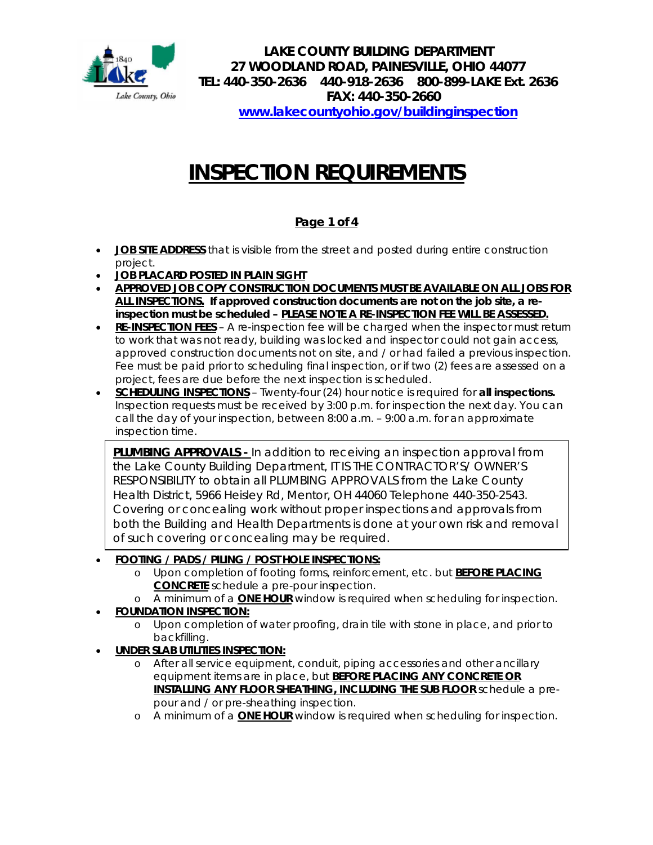

**LAKE COUNTY BUILDING DEPARTMENT 27 WOODLAND ROAD, PAINESVILLE, OHIO 44077 TEL: 440-350-2636 440-918-2636 800-899-LAKE Ext. 2636 FAX: 440-350-2660 [www.lakecountyohio.gov/buildinginspection](http://www.lakecountyohio.gov/buildinginspection)**

# **INSPECTION REQUIREMENTS**

# **Page 1 of 4**

- **JOB SITE ADDRESS** that is visible from the street and posted during entire construction project.
- **JOB PLACARD POSTED IN PLAIN SIGHT**
- **APPROVED JOB COPY CONSTRUCTION DOCUMENTS MUST BE AVAILABLE ON ALL JOBS FOR ALL INSPECTIONS. If approved construction documents are not on the job site, a reinspection must be scheduled – PLEASE NOTE A RE-INSPECTION FEE WILL BE ASSESSED.**
- **RE-INSPECTION FEES** A re-inspection fee will be charged when the inspector must return to work that was not ready, building was locked and inspector could not gain access, approved construction documents not on site, and / or had failed a previous inspection. Fee must be paid prior to scheduling final inspection, or if two (2) fees are assessed on a project, fees are due before the next inspection is scheduled.
- **SCHEDULING INSPECTIONS** Twenty-four (24) hour notice is required for **all inspections.**  Inspection requests must be received by 3:00 p.m. for inspection the next day. You can call the day of your inspection, between 8:00 a.m. – 9:00 a.m. for an approximate inspection time.

**PLUMBING APPROVALS -** In addition to receiving an inspection approval from the Lake County Building Department, IT IS THE CONTRACTOR'S/ OWNER'S RESPONSIBILITY to obtain all PLUMBING APPROVALS from the Lake County Health District, 5966 Heisley Rd, Mentor, OH 44060 Telephone 440-350-2543. Covering or concealing work without proper inspections and approvals from both the Building and Health Departments is done at your own risk and removal of such covering or concealing may be required.

# • **FOOTING / PADS / PILING / POST HOLE INSPECTIONS:**

- o Upon completion of footing forms, reinforcement, etc. but **BEFORE PLACING CONCRETE** schedule a pre-pour inspection.
- o A minimum of a **ONE HOUR** window is required when scheduling for inspection.

# • **FOUNDATION INSPECTION:**

- o Upon completion of water proofing, drain tile with stone in place, and prior to backfilling.
- **UNDER SLAB UTILITIES INSPECTION:**
	- o After all service equipment, conduit, piping accessories and other ancillary equipment items are in place, but **BEFORE PLACING ANY CONCRETE OR INSTALLING ANY FLOOR SHEATHING, INCLUDING THE SUB FLOOR** schedule a prepour and / or pre-sheathing inspection.
	- o A minimum of a **ONE HOUR** window is required when scheduling for inspection.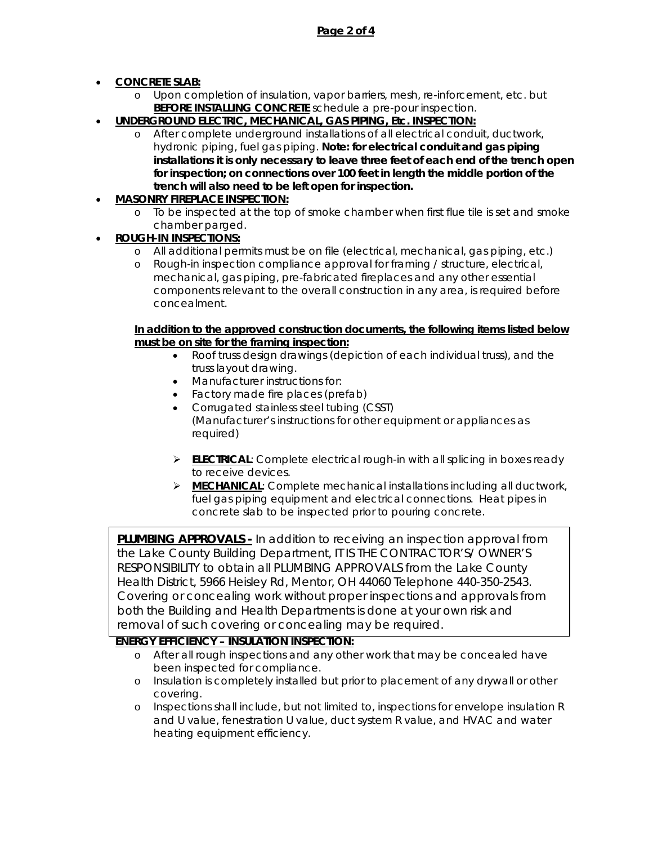## • **CONCRETE SLAB:**

- o Upon completion of insulation, vapor barriers, mesh, re-inforcement, etc. but **BEFORE INSTALLING CONCRETE** schedule a pre-pour inspection.
- **UNDERGROUND ELECTRIC, MECHANICAL, GAS PIPING, Etc. INSPECTION:**
	- o After complete underground installations of all electrical conduit, ductwork, hydronic piping, fuel gas piping. *Note: for electrical conduit and gas piping installations it is only necessary to leave three feet of each end of the trench open for inspection; on connections over 100 feet in length the middle portion of the trench will also need to be left open for inspection.*

## • **MASONRY FIREPLACE INSPECTION:**

o To be inspected at the top of smoke chamber when first flue tile is set and smoke chamber parged.

## • **ROUGH-IN INSPECTIONS:**

- o All additional permits must be on file (electrical, mechanical, gas piping, etc.)
- Rough-in inspection compliance approval for framing / structure, electrical, mechanical, gas piping, pre-fabricated fireplaces and any other essential components relevant to the overall construction in any area, is required before concealment.

#### **In addition to the approved construction documents, the following items listed below must be on site for the framing inspection:**

- Roof truss design drawings (depiction of each individual truss), and the truss layout drawing.
- Manufacturer instructions for:
- Factory made fire places (prefab)
- Corrugated stainless steel tubing (CSST) (Manufacturer's instructions for other equipment or appliances as required)
- **ELECTRICAL:** Complete electrical rough-in with all splicing in boxes ready to receive devices.
- **MECHANICAL**: Complete mechanical installations including all ductwork, fuel gas piping equipment and electrical connections. Heat pipes in concrete slab to be inspected prior to pouring concrete.

**PLUMBING APPROVALS -** In addition to receiving an inspection approval from the Lake County Building Department, IT IS THE CONTRACTOR'S/ OWNER'S RESPONSIBILITY to obtain all PLUMBING APPROVALS from the Lake County Health District, 5966 Heisley Rd, Mentor, OH 44060 Telephone 440-350-2543. Covering or concealing work without proper inspections and approvals from both the Building and Health Departments is done at your own risk and removal of such covering or concealing may be required.

# **ENERGY EFFICIENCY – INSULATION INSPECTION:**

- o After all rough inspections and any other work that may be concealed have been inspected for compliance.
- o Insulation is completely installed but prior to placement of any drywall or other covering.
- o Inspections shall include, but not limited to, inspections for envelope insulation R and U value, fenestration U value, duct system R value, and HVAC and water heating equipment efficiency.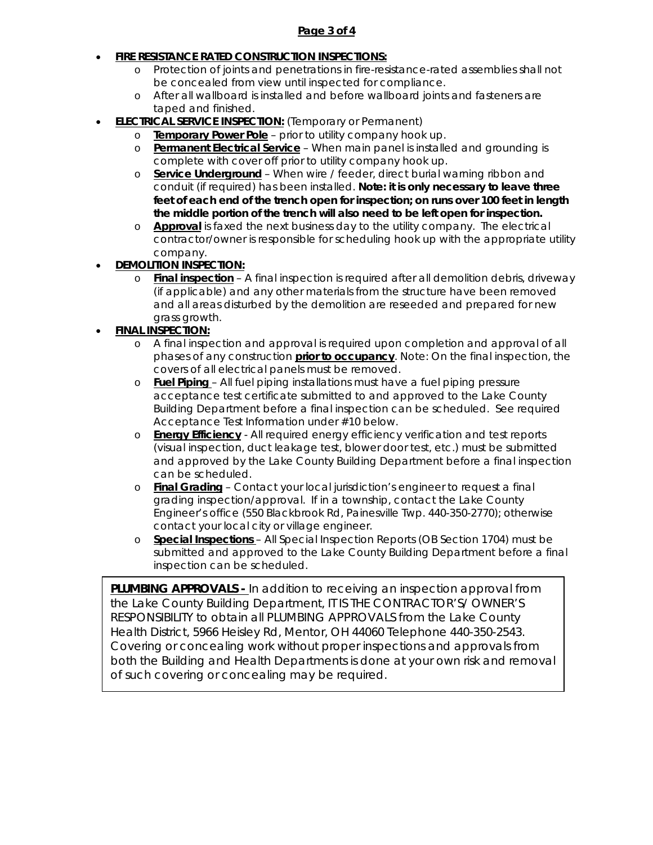#### **Page 3 of 4**

## **FIRE RESISTANCE RATED CONSTRUCTION INSPECTIONS:**

- o Protection of joints and penetrations in fire-resistance-rated assemblies shall not be concealed from view until inspected for compliance.
- o After all wallboard is installed and before wallboard joints and fasteners are taped and finished.
- **ELECTRICAL SERVICE INSPECTION:** (Temporary or Permanent)
	- o **Temporary Power Pole** prior to utility company hook up.
		- o **Permanent Electrical Service** When main panel is installed and grounding is complete with cover off prior to utility company hook up.
		- o **Service Underground** When wire / feeder, direct burial warning ribbon and conduit (if required) has been installed. *Note: it is only necessary to leave three feet of each end of the trench open for inspection; on runs over 100 feet in length the middle portion of the trench will also need to be left open for inspection.*
		- o **Approval** is faxed the next business day to the utility company. The electrical contractor/owner is responsible for scheduling hook up with the appropriate utility company.
- **DEMOLITION INSPECTION:**
	- o **Final inspection** A final inspection is required after all demolition debris, driveway (if applicable) and any other materials from the structure have been removed and all areas disturbed by the demolition are reseeded and prepared for new grass growth.

## • **FINAL INSPECTION:**

- o A final inspection and approval is required upon completion and approval of all phases of any construction **prior to occupancy**. Note: On the final inspection, the covers of all electrical panels must be removed.
- o **Fuel Piping**  All fuel piping installations must have a fuel piping pressure acceptance test certificate submitted to and approved to the Lake County Building Department before a final inspection can be scheduled. See required Acceptance Test Information under #10 below.
- o **Energy Efficiency** All required energy efficiency verification and test reports (visual inspection, duct leakage test, blower door test, etc.) must be submitted and approved by the Lake County Building Department before a final inspection can be scheduled.
- o **Final Grading** Contact your local jurisdiction's engineer to request a final grading inspection/approval. If in a township, contact the Lake County Engineer's office (550 Blackbrook Rd, Painesville Twp. 440-350-2770); otherwise contact your local city or village engineer.
- o **Special Inspections**  All Special Inspection Reports (OB Section 1704) must be submitted and approved to the Lake County Building Department before a final inspection can be scheduled.

**PLUMBING APPROVALS -** In addition to receiving an inspection approval from the Lake County Building Department, IT IS THE CONTRACTOR'S/ OWNER'S RESPONSIBILITY to obtain all PLUMBING APPROVALS from the Lake County Health District, 5966 Heisley Rd, Mentor, OH 44060 Telephone 440-350-2543. Covering or concealing work without proper inspections and approvals from both the Building and Health Departments is done at your own risk and removal of such covering or concealing may be required.